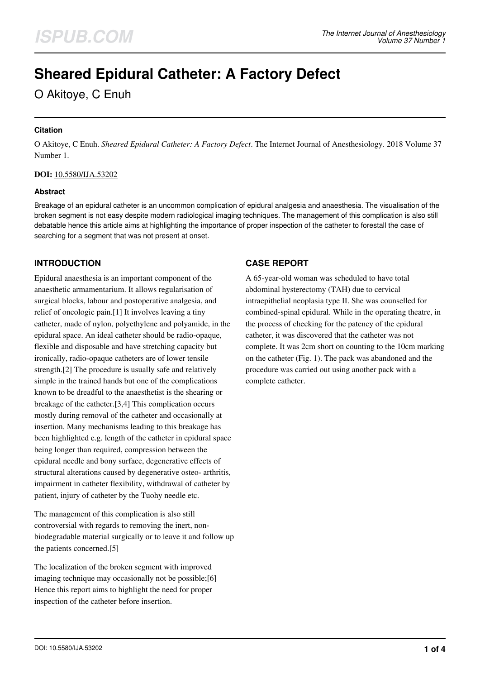# **Sheared Epidural Catheter: A Factory Defect**

O Akitoye, C Enuh

## **Citation**

O Akitoye, C Enuh. *Sheared Epidural Catheter: A Factory Defect*. The Internet Journal of Anesthesiology. 2018 Volume 37 Number 1.

## **DOI:** [10.5580/IJA.53202](https://ispub.com/doi/10.5580/IJA.53202)

## **Abstract**

Breakage of an epidural catheter is an uncommon complication of epidural analgesia and anaesthesia. The visualisation of the broken segment is not easy despite modern radiological imaging techniques. The management of this complication is also still debatable hence this article aims at highlighting the importance of proper inspection of the catheter to forestall the case of searching for a segment that was not present at onset.

# **INTRODUCTION**

Epidural anaesthesia is an important component of the anaesthetic armamentarium. It allows regularisation of surgical blocks, labour and postoperative analgesia, and relief of oncologic pain.[1] It involves leaving a tiny catheter, made of nylon, polyethylene and polyamide, in the epidural space. An ideal catheter should be radio-opaque, flexible and disposable and have stretching capacity but ironically, radio-opaque catheters are of lower tensile strength.[2] The procedure is usually safe and relatively simple in the trained hands but one of the complications known to be dreadful to the anaesthetist is the shearing or breakage of the catheter.[3,4] This complication occurs mostly during removal of the catheter and occasionally at insertion. Many mechanisms leading to this breakage has been highlighted e.g. length of the catheter in epidural space being longer than required, compression between the epidural needle and bony surface, degenerative effects of structural alterations caused by degenerative osteo- arthritis, impairment in catheter flexibility, withdrawal of catheter by patient, injury of catheter by the Tuohy needle etc.

The management of this complication is also still controversial with regards to removing the inert, nonbiodegradable material surgically or to leave it and follow up the patients concerned.[5]

The localization of the broken segment with improved imaging technique may occasionally not be possible;[6] Hence this report aims to highlight the need for proper inspection of the catheter before insertion.

## **CASE REPORT**

A 65-year-old woman was scheduled to have total abdominal hysterectomy (TAH) due to cervical intraepithelial neoplasia type II. She was counselled for combined-spinal epidural. While in the operating theatre, in the process of checking for the patency of the epidural catheter, it was discovered that the catheter was not complete. It was 2cm short on counting to the 10cm marking on the catheter (Fig. 1). The pack was abandoned and the procedure was carried out using another pack with a complete catheter.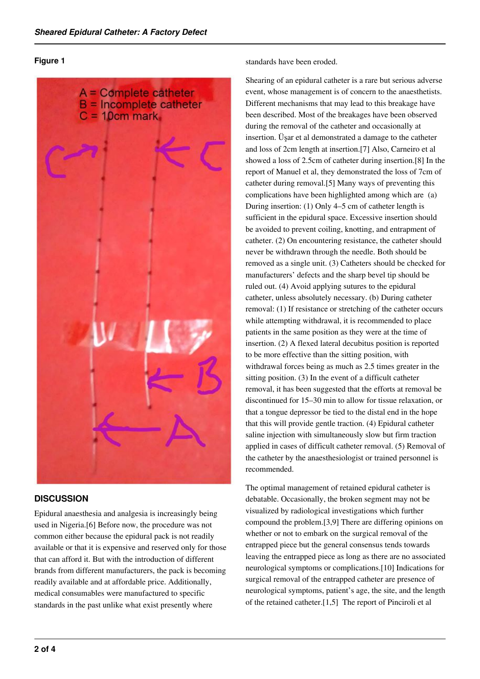#### **Figure 1**



## **DISCUSSION**

Epidural anaesthesia and analgesia is increasingly being used in Nigeria.[6] Before now, the procedure was not common either because the epidural pack is not readily available or that it is expensive and reserved only for those that can afford it. But with the introduction of different brands from different manufacturers, the pack is becoming readily available and at affordable price. Additionally, medical consumables were manufactured to specific standards in the past unlike what exist presently where

standards have been eroded.

Shearing of an epidural catheter is a rare but serious adverse event, whose management is of concern to the anaesthetists. Different mechanisms that may lead to this breakage have been described. Most of the breakages have been observed during the removal of the catheter and occasionally at insertion. Üşar et al demonstrated a damage to the catheter and loss of 2cm length at insertion.[7] Also, Carneiro et al showed a loss of 2.5cm of catheter during insertion.[8] In the report of Manuel et al, they demonstrated the loss of 7cm of catheter during removal.[5] Many ways of preventing this complications have been highlighted among which are (a) During insertion: (1) Only 4–5 cm of catheter length is sufficient in the epidural space. Excessive insertion should be avoided to prevent coiling, knotting, and entrapment of catheter. (2) On encountering resistance, the catheter should never be withdrawn through the needle. Both should be removed as a single unit. (3) Catheters should be checked for manufacturers' defects and the sharp bevel tip should be ruled out. (4) Avoid applying sutures to the epidural catheter, unless absolutely necessary. (b) During catheter removal: (1) If resistance or stretching of the catheter occurs while attempting withdrawal, it is recommended to place patients in the same position as they were at the time of insertion. (2) A flexed lateral decubitus position is reported to be more effective than the sitting position, with withdrawal forces being as much as 2.5 times greater in the sitting position. (3) In the event of a difficult catheter removal, it has been suggested that the efforts at removal be discontinued for 15–30 min to allow for tissue relaxation, or that a tongue depressor be tied to the distal end in the hope that this will provide gentle traction. (4) Epidural catheter saline injection with simultaneously slow but firm traction applied in cases of difficult catheter removal. (5) Removal of the catheter by the anaesthesiologist or trained personnel is recommended.

The optimal management of retained epidural catheter is debatable. Occasionally, the broken segment may not be visualized by radiological investigations which further compound the problem.[3,9] There are differing opinions on whether or not to embark on the surgical removal of the entrapped piece but the general consensus tends towards leaving the entrapped piece as long as there are no associated neurological symptoms or complications.[10] Indications for surgical removal of the entrapped catheter are presence of neurological symptoms, patient's age, the site, and the length of the retained catheter.[1,5] The report of Pinciroli et al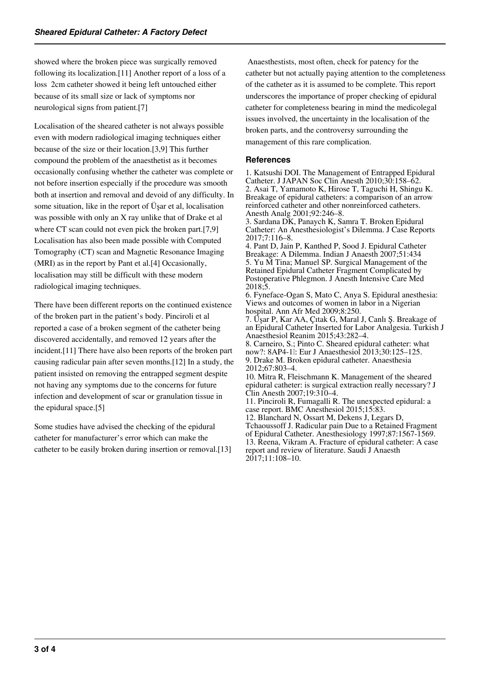showed where the broken piece was surgically removed following its localization.[11] Another report of a loss of a loss 2cm catheter showed it being left untouched either because of its small size or lack of symptoms nor neurological signs from patient.[7]

Localisation of the sheared catheter is not always possible even with modern radiological imaging techniques either because of the size or their location.[3,9] This further compound the problem of the anaesthetist as it becomes occasionally confusing whether the catheter was complete or not before insertion especially if the procedure was smooth both at insertion and removal and devoid of any difficulty. In some situation, like in the report of Üşar et al, localisation was possible with only an X ray unlike that of Drake et al where CT scan could not even pick the broken part.[7,9] Localisation has also been made possible with Computed Tomography (CT) scan and Magnetic Resonance Imaging (MRI) as in the report by Pant et al.[4] Occasionally, localisation may still be difficult with these modern radiological imaging techniques.

There have been different reports on the continued existence of the broken part in the patient's body. Pinciroli et al reported a case of a broken segment of the catheter being discovered accidentally, and removed 12 years after the incident.[11] There have also been reports of the broken part causing radicular pain after seven months.[12] In a study, the patient insisted on removing the entrapped segment despite not having any symptoms due to the concerns for future infection and development of scar or granulation tissue in the epidural space.[5]

Some studies have advised the checking of the epidural catheter for manufacturer's error which can make the catheter to be easily broken during insertion or removal.[13]

 Anaesthestists, most often, check for patency for the catheter but not actually paying attention to the completeness of the catheter as it is assumed to be complete. This report underscores the importance of proper checking of epidural catheter for completeness bearing in mind the medicolegal issues involved, the uncertainty in the localisation of the broken parts, and the controversy surrounding the management of this rare complication.

## **References**

1. Katsushi DOI. The Management of Entrapped Epidural Catheter. J JAPAN Soc Clin Anesth 2010;30:158–62. 2. Asai T, Yamamoto K, Hirose T, Taguchi H, Shingu K. Breakage of epidural catheters: a comparison of an arrow reinforced catheter and other nonreinforced catheters. Anesth Analg 2001;92:246–8.

3. Sardana DK, Panaych K, Samra T. Broken Epidural Catheter: An Anesthesiologist's Dilemma. J Case Reports 2017;7:116–8.

4. Pant D, Jain P, Kanthed P, Sood J. Epidural Catheter Breakage: A Dilemma. Indian J Anaesth 2007;51:434 5. Yu M Tina; Manuel SP. Surgical Management of the Retained Epidural Catheter Fragment Complicated by Postoperative Phlegmon. J Anesth Intensive Care Med 2018;5.

6. Fyneface-Ogan S, Mato C, Anya S. Epidural anesthesia: Views and outcomes of women in labor in a Nigerian hospital. Ann Afr Med 2009;8:250.

7. Üşar P, Kar AA, Çıtak G, Maral J, Canlı Ş. Breakage of an Epidural Catheter Inserted for Labor Analgesia. Turkish J Anaesthesiol Reanim 2015;43:282–4.

8. Carneiro, S.; Pinto C. Sheared epidural catheter: what now?: 8AP4-1 : Eur J Anaesthesiol 2013;30:125–125. 9. Drake M. Broken epidural catheter. Anaesthesia 2012;67:803–4.

10. Mitra R, Fleischmann K. Management of the sheared epidural catheter: is surgical extraction really necessary? J Clin Anesth 2007;19:310–4.

11. Pinciroli R, Fumagalli R. The unexpected epidural: a case report. BMC Anesthesiol 2015;15:83.

12. Blanchard N, Ossart M, Dekens J, Legars D, Tchaoussoff J. Radicular pain Due to a Retained Fragment of Epidural Catheter. Anesthesiology 1997;87:1567-1569. 13. Reena, Vikram A. Fracture of epidural catheter: A case report and review of literature. Saudi J Anaesth 2017;11:108–10.